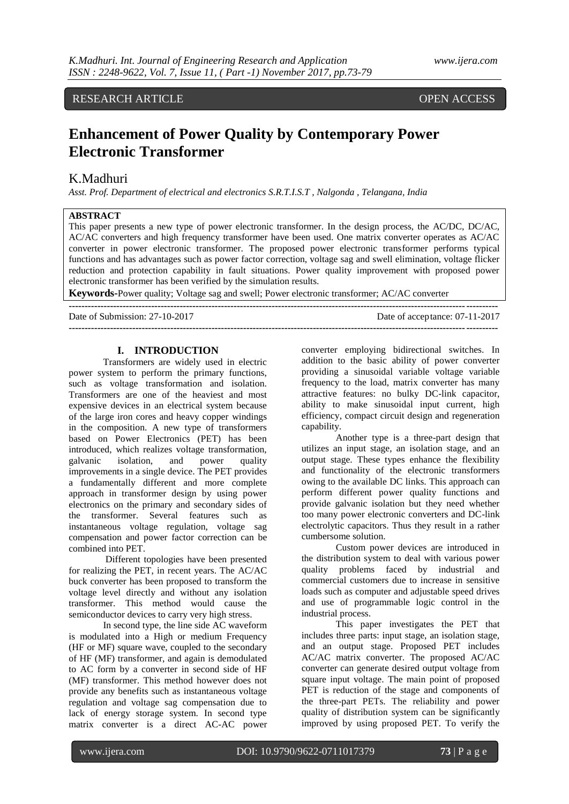# RESEARCH ARTICLE OPEN ACCESS

# **Enhancement of Power Quality by Contemporary Power Electronic Transformer**

## K.Madhuri

*Asst. Prof. Department of electrical and electronics S.R.T.I.S.T , Nalgonda , Telangana, India*

### **ABSTRACT**

This paper presents a new type of power electronic transformer. In the design process, the AC/DC, DC/AC, AC/AC converters and high frequency transformer have been used. One matrix converter operates as AC/AC converter in power electronic transformer. The proposed power electronic transformer performs typical functions and has advantages such as power factor correction, voltage sag and swell elimination, voltage flicker reduction and protection capability in fault situations. Power quality improvement with proposed power electronic transformer has been verified by the simulation results.

**Keywords-**Power quality; Voltage sag and swell; Power electronic transformer; AC/AC converter

| Date of Submission: $27-10-2017$ | Date of acceptance: 07-11-2017 |
|----------------------------------|--------------------------------|
|                                  |                                |

### **I. INTRODUCTION**

Transformers are widely used in electric power system to perform the primary functions, such as voltage transformation and isolation. Transformers are one of the heaviest and most expensive devices in an electrical system because of the large iron cores and heavy copper windings in the composition. A new type of transformers based on Power Electronics (PET) has been introduced, which realizes voltage transformation, galvanic isolation, and power quality improvements in a single device. The PET provides a fundamentally different and more complete approach in transformer design by using power electronics on the primary and secondary sides of the transformer. Several features such as instantaneous voltage regulation, voltage sag compensation and power factor correction can be combined into PET.

Different topologies have been presented for realizing the PET, in recent years. The AC/AC buck converter has been proposed to transform the voltage level directly and without any isolation transformer. This method would cause the semiconductor devices to carry very high stress.

In second type, the line side AC waveform is modulated into a High or medium Frequency (HF or MF) square wave, coupled to the secondary of HF (MF) transformer, and again is demodulated to AC form by a converter in second side of HF (MF) transformer. This method however does not provide any benefits such as instantaneous voltage regulation and voltage sag compensation due to lack of energy storage system. In second type matrix converter is a direct AC-AC power

converter employing bidirectional switches. In addition to the basic ability of power converter providing a sinusoidal variable voltage variable frequency to the load, matrix converter has many attractive features: no bulky DC-link capacitor, ability to make sinusoidal input current, high efficiency, compact circuit design and regeneration capability.

Another type is a three-part design that utilizes an input stage, an isolation stage, and an output stage. These types enhance the flexibility and functionality of the electronic transformers owing to the available DC links. This approach can perform different power quality functions and provide galvanic isolation but they need whether too many power electronic converters and DC-link electrolytic capacitors. Thus they result in a rather cumbersome solution.

Custom power devices are introduced in the distribution system to deal with various power quality problems faced by industrial and commercial customers due to increase in sensitive loads such as computer and adjustable speed drives and use of programmable logic control in the industrial process.

This paper investigates the PET that includes three parts: input stage, an isolation stage, and an output stage. Proposed PET includes AC/AC matrix converter. The proposed AC/AC converter can generate desired output voltage from square input voltage. The main point of proposed PET is reduction of the stage and components of the three-part PETs. The reliability and power quality of distribution system can be significantly improved by using proposed PET. To verify the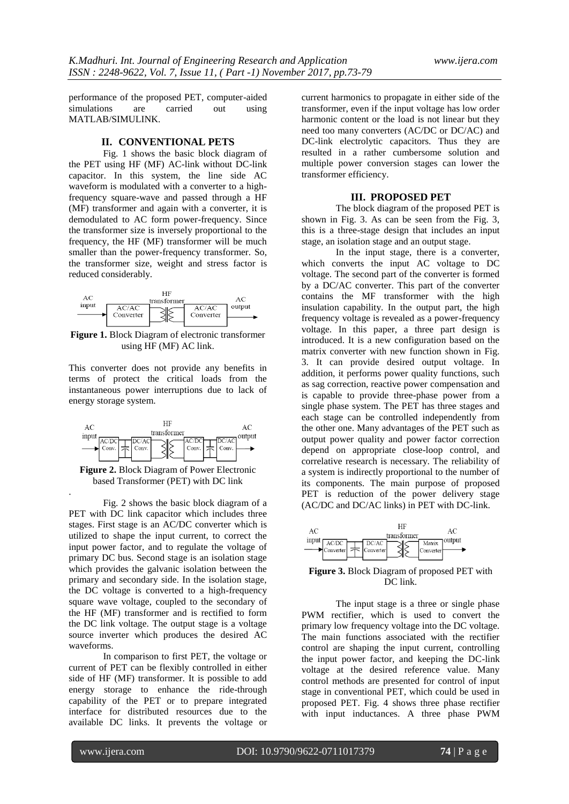performance of the proposed PET, computer-aided simulations are carried out using MATLAB/SIMULINK.

#### **II. CONVENTIONAL PETS**

Fig. 1 shows the basic block diagram of the PET using HF (MF) AC-link without DC-link capacitor. In this system, the line side AC waveform is modulated with a converter to a highfrequency square-wave and passed through a HF (MF) transformer and again with a converter, it is demodulated to AC form power-frequency. Since the transformer size is inversely proportional to the frequency, the HF (MF) transformer will be much smaller than the power-frequency transformer. So, the transformer size, weight and stress factor is reduced considerably.



**Figure 1.** Block Diagram of electronic transformer using HF (MF) AC link.

This converter does not provide any benefits in terms of protect the critical loads from the instantaneous power interruptions due to lack of energy storage system.



**Figure 2.** Block Diagram of Power Electronic based Transformer (PET) with DC link

Fig. 2 shows the basic block diagram of a PET with DC link capacitor which includes three stages. First stage is an AC/DC converter which is utilized to shape the input current, to correct the input power factor, and to regulate the voltage of primary DC bus. Second stage is an isolation stage which provides the galvanic isolation between the primary and secondary side. In the isolation stage, the DC voltage is converted to a high-frequency square wave voltage, coupled to the secondary of the HF (MF) transformer and is rectified to form the DC link voltage. The output stage is a voltage source inverter which produces the desired AC waveforms.

In comparison to first PET, the voltage or current of PET can be flexibly controlled in either side of HF (MF) transformer. It is possible to add energy storage to enhance the ride-through capability of the PET or to prepare integrated interface for distributed resources due to the available DC links. It prevents the voltage or current harmonics to propagate in either side of the transformer, even if the input voltage has low order harmonic content or the load is not linear but they need too many converters (AC/DC or DC/AC) and DC-link electrolytic capacitors. Thus they are resulted in a rather cumbersome solution and multiple power conversion stages can lower the transformer efficiency.

#### **III. PROPOSED PET**

The block diagram of the proposed PET is shown in Fig. 3. As can be seen from the Fig. 3, this is a three-stage design that includes an input stage, an isolation stage and an output stage.

In the input stage, there is a converter, which converts the input AC voltage to DC voltage. The second part of the converter is formed by a DC/AC converter. This part of the converter contains the MF transformer with the high insulation capability. In the output part, the high frequency voltage is revealed as a power-frequency voltage. In this paper, a three part design is introduced. It is a new configuration based on the matrix converter with new function shown in Fig. 3. It can provide desired output voltage. In addition, it performs power quality functions, such as sag correction, reactive power compensation and is capable to provide three-phase power from a single phase system. The PET has three stages and each stage can be controlled independently from the other one. Many advantages of the PET such as output power quality and power factor correction depend on appropriate close-loop control, and correlative research is necessary. The reliability of a system is indirectly proportional to the number of its components. The main purpose of proposed PET is reduction of the power delivery stage (AC/DC and DC/AC links) in PET with DC-link.



**Figure 3.** Block Diagram of proposed PET with DC link.

The input stage is a three or single phase PWM rectifier, which is used to convert the primary low frequency voltage into the DC voltage. The main functions associated with the rectifier control are shaping the input current, controlling the input power factor, and keeping the DC-link voltage at the desired reference value. Many control methods are presented for control of input stage in conventional PET, which could be used in proposed PET. Fig. 4 shows three phase rectifier with input inductances. A three phase PWM

.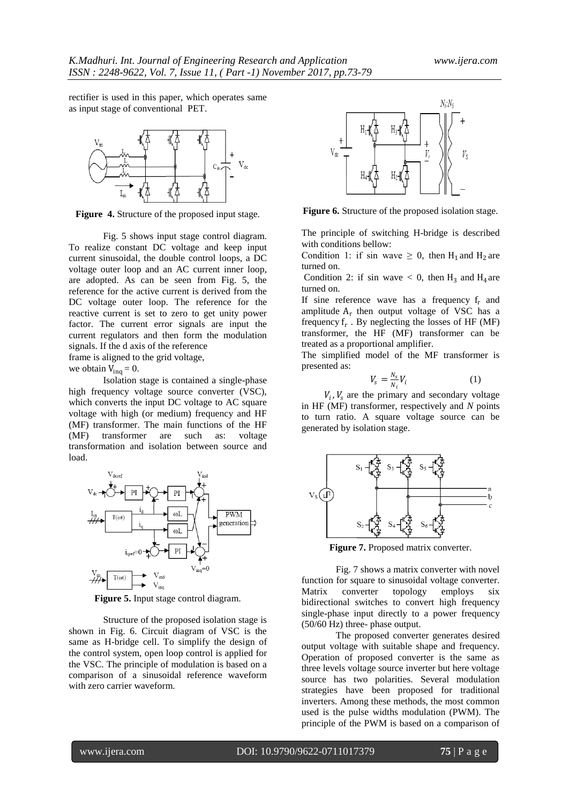rectifier is used in this paper, which operates same as input stage of conventional PET.



**Figure 4.** Structure of the proposed input stage.

Fig. 5 shows input stage control diagram. To realize constant DC voltage and keep input current sinusoidal, the double control loops, a DC voltage outer loop and an AC current inner loop, are adopted. As can be seen from Fig. 5, the reference for the active current is derived from the DC voltage outer loop. The reference for the reactive current is set to zero to get unity power factor. The current error signals are input the current regulators and then form the modulation signals. If the d axis of the reference frame is aligned to the grid voltage,

we obtain  $V_{\text{inq}} = 0$ .

Isolation stage is contained a single-phase high frequency voltage source converter (VSC), which converts the input DC voltage to AC square voltage with high (or medium) frequency and HF (MF) transformer. The main functions of the HF (MF) transformer are such as: voltage transformation and isolation between source and load.



**Figure 5.** Input stage control diagram.

Structure of the proposed isolation stage is shown in Fig. 6. Circuit diagram of VSC is the same as H-bridge cell. To simplify the design of the control system, open loop control is applied for the VSC. The principle of modulation is based on a comparison of a sinusoidal reference waveform with zero carrier waveform.



**Figure 6.** Structure of the proposed isolation stage.

The principle of switching H-bridge is described with conditions bellow:

Condition 1: if sin wave  $\geq$  0, then H<sub>1</sub> and H<sub>2</sub> are turned on.

Condition 2: if sin wave  $< 0$ , then H<sub>3</sub> and H<sub>4</sub> are turned on.

If sine reference wave has a frequency  $f_r$  and amplitude  $A_r$  then output voltage of VSC has a frequency  $f_r$ . By neglecting the losses of HF (MF) transformer, the HF (MF) transformer can be treated as a proportional amplifier.

The simplified model of the MF transformer is presented as:

$$
V_s = \frac{N_s}{N_i} V_i \tag{1}
$$

 $V_i$ ,  $V_s$  are the primary and secondary voltage in HF (MF) transformer, respectively and *N* points to turn ratio. A square voltage source can be generated by isolation stage.



**Figure 7.** Proposed matrix converter.

Fig. 7 shows a matrix converter with novel function for square to sinusoidal voltage converter. Matrix converter topology employs six bidirectional switches to convert high frequency single-phase input directly to a power frequency (50/60 Hz) three- phase output.

The proposed converter generates desired output voltage with suitable shape and frequency. Operation of proposed converter is the same as three levels voltage source inverter but here voltage source has two polarities. Several modulation strategies have been proposed for traditional inverters. Among these methods, the most common used is the pulse widths modulation (PWM). The principle of the PWM is based on a comparison of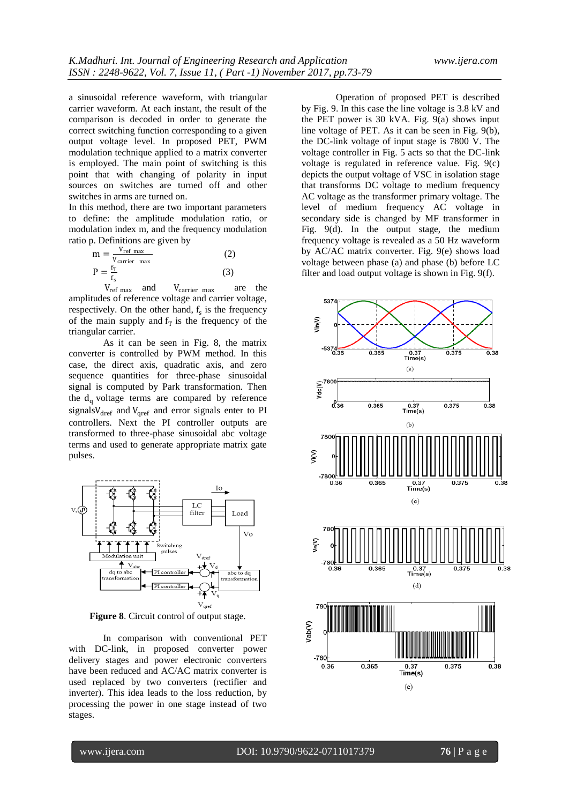a sinusoidal reference waveform, with triangular carrier waveform. At each instant, the result of the comparison is decoded in order to generate the correct switching function corresponding to a given output voltage level. In proposed PET, PWM modulation technique applied to a matrix converter is employed. The main point of switching is this point that with changing of polarity in input sources on switches are turned off and other switches in arms are turned on.

In this method, there are two important parameters to define: the amplitude modulation ratio, or modulation index m, and the frequency modulation ratio p. Definitions are given by

$$
m = \frac{V_{ref max}}{V_{carrier max}}
$$
 (2)  

$$
P = \frac{f_T}{f_s}
$$
 (3)

 $V_{ref \, max}$  and  $V_{carrier \, max}$  are the amplitudes of reference voltage and carrier voltage, respectively. On the other hand,  $f_s$  is the frequency of the main supply and  $f<sub>T</sub>$  is the frequency of the triangular carrier.

As it can be seen in Fig. 8, the matrix converter is controlled by PWM method. In this case, the direct axis, quadratic axis, and zero sequence quantities for three-phase sinusoidal signal is computed by Park transformation. Then the  $d_a$  voltage terms are compared by reference signals $V_{\text{dref}}$  and  $V_{\text{qref}}$  and error signals enter to PI controllers. Next the PI controller outputs are transformed to three-phase sinusoidal abc voltage terms and used to generate appropriate matrix gate pulses.



**Figure 8**. Circuit control of output stage.

In comparison with conventional PET with DC-link, in proposed converter power delivery stages and power electronic converters have been reduced and AC/AC matrix converter is used replaced by two converters (rectifier and inverter). This idea leads to the loss reduction, by processing the power in one stage instead of two stages.

Operation of proposed PET is described by Fig. 9. In this case the line voltage is 3.8 kV and the PET power is 30 kVA. Fig.  $9(a)$  shows input line voltage of PET. As it can be seen in Fig. 9(b), the DC-link voltage of input stage is 7800 V. The voltage controller in Fig. 5 acts so that the DC-link voltage is regulated in reference value. Fig. 9(c) depicts the output voltage of VSC in isolation stage that transforms DC voltage to medium frequency AC voltage as the transformer primary voltage. The level of medium frequency AC voltage in secondary side is changed by MF transformer in Fig. 9(d). In the output stage, the medium frequency voltage is revealed as a 50 Hz waveform by AC/AC matrix converter. Fig. 9(e) shows load voltage between phase (a) and phase (b) before LC filter and load output voltage is shown in Fig. 9(f).

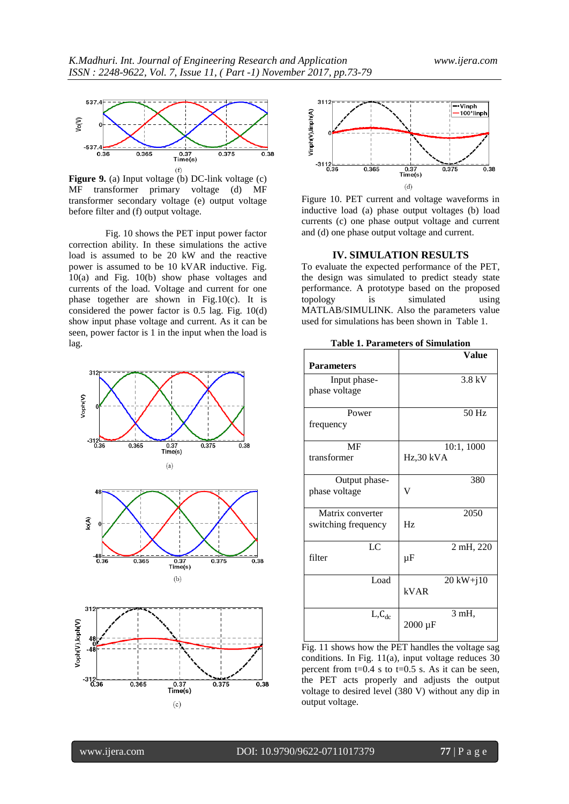

**Figure 9.** (a) Input voltage (b) DC-link voltage (c) MF transformer primary voltage (d) MF transformer secondary voltage (e) output voltage before filter and (f) output voltage.

Fig. 10 shows the PET input power factor correction ability. In these simulations the active load is assumed to be 20 kW and the reactive power is assumed to be 10 kVAR inductive. Fig. 10(a) and Fig. 10(b) show phase voltages and currents of the load. Voltage and current for one phase together are shown in Fig.10(c). It is considered the power factor is 0.5 lag. Fig. 10(d) show input phase voltage and current. As it can be seen, power factor is 1 in the input when the load is lag.





Figure 10. PET current and voltage waveforms in inductive load (a) phase output voltages (b) load currents (c) one phase output voltage and current and (d) one phase output voltage and current.

#### **IV. SIMULATION RESULTS**

To evaluate the expected performance of the PET, the design was simulated to predict steady state performance. A prototype based on the proposed topology is simulated using MATLAB/SIMULINK. Also the parameters value used for simulations has been shown in Table 1.

|                     | <b>Value</b> |
|---------------------|--------------|
| <b>Parameters</b>   |              |
| Input phase-        | $3.8$ kV     |
| phase voltage       |              |
|                     |              |
| Power               | 50 Hz        |
| frequency           |              |
|                     |              |
| <b>MF</b>           | 10:1, 1000   |
| transformer         | Hz,30 kVA    |
|                     |              |
| Output phase-       | 380          |
| phase voltage       | V            |
|                     |              |
| Matrix converter    | 2050<br>Hz   |
| switching frequency |              |
| LC                  | 2 mH, 220    |
| filter              | $\mu$ F      |
|                     |              |
| Load                | 20 kW+j10    |
|                     | kVAR         |
|                     |              |
| $L, C_{dc}$         | 3 mH,        |
|                     | 2000 µF      |
|                     |              |

**Table 1. Parameters of Simulation**

Fig. 11 shows how the PET handles the voltage sag conditions. In Fig. 11(a), input voltage reduces 30 percent from  $t=0.4$  s to  $t=0.5$  s. As it can be seen, the PET acts properly and adjusts the output voltage to desired level (380 V) without any dip in output voltage.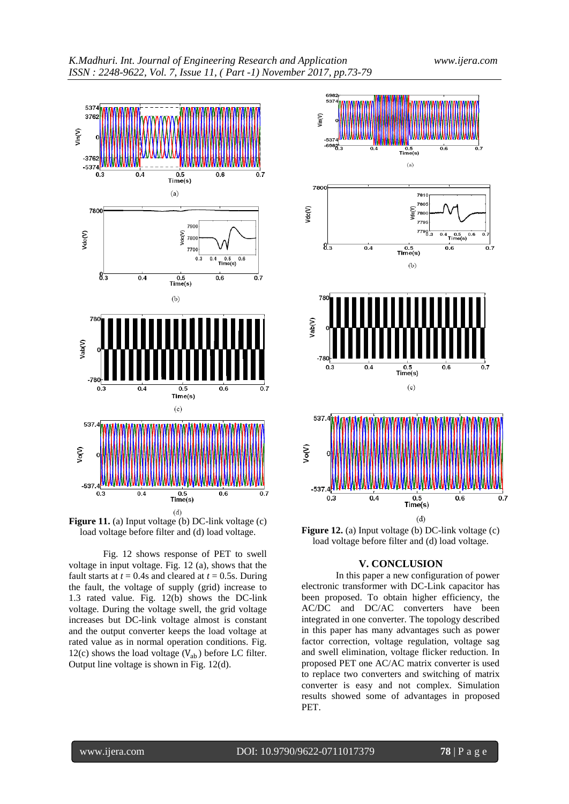

Figure 11. (a) Input voltage (b) DC-link voltage (c) load voltage before filter and (d) load voltage.

Fig. 12 shows response of PET to swell voltage in input voltage. Fig. 12 (a), shows that the fault starts at  $t = 0.4$ s and cleared at  $t = 0.5$ s. During the fault, the voltage of supply (grid) increase to 1.3 rated value. Fig. 12(b) shows the DC-link voltage. During the voltage swell, the grid voltage increases but DC-link voltage almost is constant and the output converter keeps the load voltage at rated value as in normal operation conditions. Fig. 12(c) shows the load voltage  $(V_{ab})$  before LC filter. Output line voltage is shown in Fig. 12(d).



**Figure 12.** (a) Input voltage (b) DC-link voltage (c) load voltage before filter and (d) load voltage.

### **V. CONCLUSION**

In this paper a new configuration of power electronic transformer with DC-Link capacitor has been proposed. To obtain higher efficiency, the AC/DC and DC/AC converters have been integrated in one converter. The topology described in this paper has many advantages such as power factor correction, voltage regulation, voltage sag and swell elimination, voltage flicker reduction. In proposed PET one AC/AC matrix converter is used to replace two converters and switching of matrix converter is easy and not complex. Simulation results showed some of advantages in proposed PET.